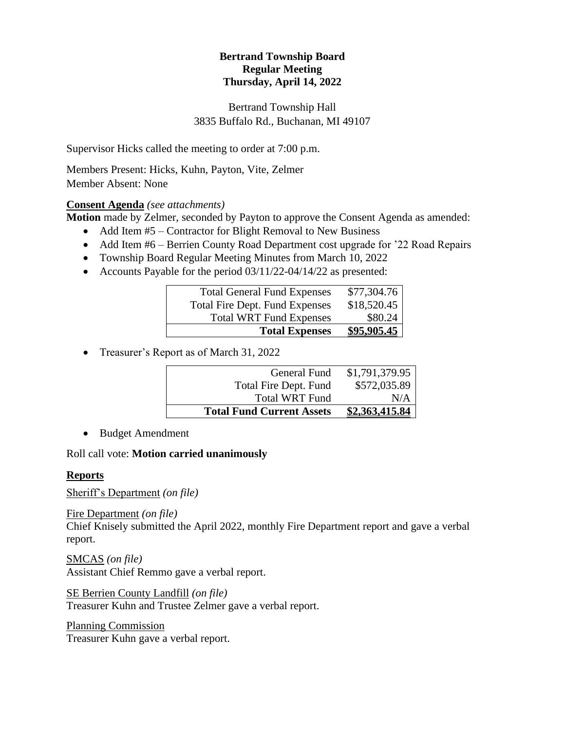# **Bertrand Township Board Regular Meeting Thursday, April 14, 2022**

Bertrand Township Hall 3835 Buffalo Rd., Buchanan, MI 49107

Supervisor Hicks called the meeting to order at 7:00 p.m.

Members Present: Hicks, Kuhn, Payton, Vite, Zelmer Member Absent: None

### **Consent Agenda** *(see attachments)*

**Motion** made by Zelmer, seconded by Payton to approve the Consent Agenda as amended:

- Add Item #5 Contractor for Blight Removal to New Business
- Add Item #6 Berrien County Road Department cost upgrade for '22 Road Repairs
- Township Board Regular Meeting Minutes from March 10, 2022
- Accounts Payable for the period 03/11/22-04/14/22 as presented:

| <b>Total General Fund Expenses</b>    | \$77,304.76        |
|---------------------------------------|--------------------|
| <b>Total Fire Dept. Fund Expenses</b> | \$18,520.45        |
| <b>Total WRT Fund Expenses</b>        | \$80.24            |
| <b>Total Expenses</b>                 | <u>\$95,905.45</u> |

• Treasurer's Report as of March 31, 2022

| <b>Total Fund Current Assets</b> | \$2,363,415.84 |
|----------------------------------|----------------|
| <b>Total WRT Fund</b>            | N/A            |
| Total Fire Dept. Fund            | \$572,035.89   |
| General Fund                     | \$1,791,379.95 |
|                                  |                |

• Budget Amendment

Roll call vote: **Motion carried unanimously**

#### **Reports**

Sheriff's Department *(on file)*

Fire Department *(on file)*

Chief Knisely submitted the April 2022, monthly Fire Department report and gave a verbal report.

SMCAS *(on file)* Assistant Chief Remmo gave a verbal report.

SE Berrien County Landfill *(on file)* Treasurer Kuhn and Trustee Zelmer gave a verbal report.

Planning Commission Treasurer Kuhn gave a verbal report.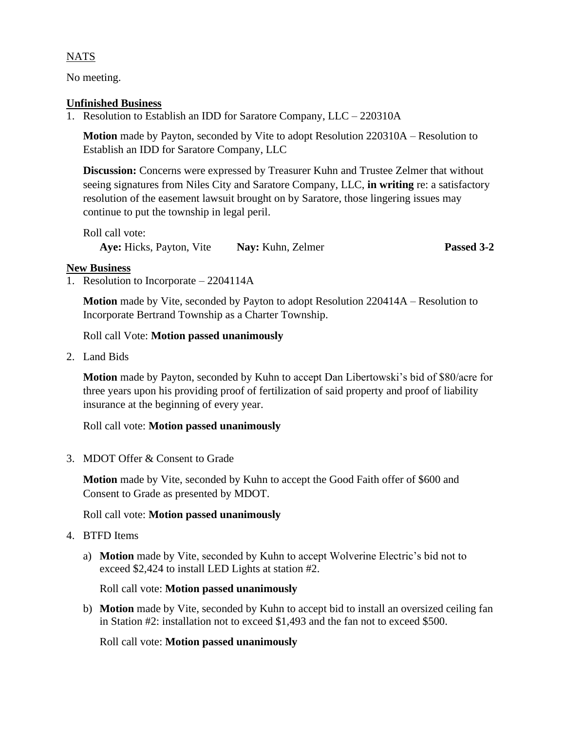# NATS

No meeting.

## **Unfinished Business**

1. Resolution to Establish an IDD for Saratore Company, LLC – 220310A

**Motion** made by Payton, seconded by Vite to adopt Resolution 220310A – Resolution to Establish an IDD for Saratore Company, LLC

**Discussion:** Concerns were expressed by Treasurer Kuhn and Trustee Zelmer that without seeing signatures from Niles City and Saratore Company, LLC, **in writing** re: a satisfactory resolution of the easement lawsuit brought on by Saratore, those lingering issues may continue to put the township in legal peril.

Roll call vote: **Aye:** Hicks, Payton, Vite **Nay:** Kuhn, Zelmer **Passed 3-2**

# **New Business**

1. Resolution to Incorporate – 2204114A

**Motion** made by Vite, seconded by Payton to adopt Resolution 220414A – Resolution to Incorporate Bertrand Township as a Charter Township.

Roll call Vote: **Motion passed unanimously**

2. Land Bids

**Motion** made by Payton, seconded by Kuhn to accept Dan Libertowski's bid of \$80/acre for three years upon his providing proof of fertilization of said property and proof of liability insurance at the beginning of every year.

Roll call vote: **Motion passed unanimously**

3. MDOT Offer & Consent to Grade

**Motion** made by Vite, seconded by Kuhn to accept the Good Faith offer of \$600 and Consent to Grade as presented by MDOT.

# Roll call vote: **Motion passed unanimously**

- 4. BTFD Items
	- a) **Motion** made by Vite, seconded by Kuhn to accept Wolverine Electric's bid not to exceed \$2,424 to install LED Lights at station #2.

Roll call vote: **Motion passed unanimously**

b) **Motion** made by Vite, seconded by Kuhn to accept bid to install an oversized ceiling fan in Station #2: installation not to exceed \$1,493 and the fan not to exceed \$500.

Roll call vote: **Motion passed unanimously**